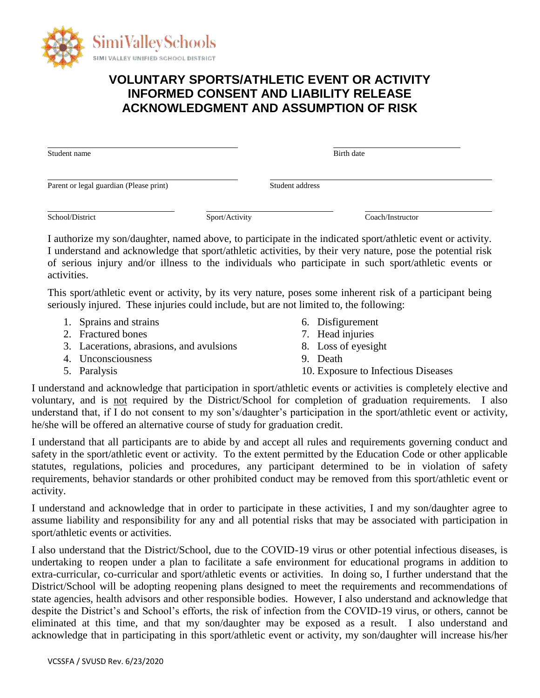

## **VOLUNTARY SPORTS/ATHLETIC EVENT OR ACTIVITY INFORMED CONSENT AND LIABILITY RELEASE ACKNOWLEDGMENT AND ASSUMPTION OF RISK**

Student name Birth date by the Birth date by the Birth date by the Birth date by the Birth date

Parent or legal guardian (Please print) Student address

School/District Sport/Activity Coach/Instructor

I authorize my son/daughter, named above, to participate in the indicated sport/athletic event or activity. I understand and acknowledge that sport/athletic activities, by their very nature, pose the potential risk of serious injury and/or illness to the individuals who participate in such sport/athletic events or activities.

This sport/athletic event or activity, by its very nature, poses some inherent risk of a participant being seriously injured. These injuries could include, but are not limited to, the following:

- 1. Sprains and strains
- 2. Fractured bones
- 3. Lacerations, abrasions, and avulsions
- 4. Unconsciousness
- 5. Paralysis
- 6. Disfigurement
- 7. Head injuries
- 8. Loss of eyesight
- 9. Death
- 10. Exposure to Infectious Diseases

I understand and acknowledge that participation in sport/athletic events or activities is completely elective and voluntary, and is not required by the District/School for completion of graduation requirements. I also understand that, if I do not consent to my son's/daughter's participation in the sport/athletic event or activity, he/she will be offered an alternative course of study for graduation credit.

I understand that all participants are to abide by and accept all rules and requirements governing conduct and safety in the sport/athletic event or activity. To the extent permitted by the Education Code or other applicable statutes, regulations, policies and procedures, any participant determined to be in violation of safety requirements, behavior standards or other prohibited conduct may be removed from this sport/athletic event or activity.

I understand and acknowledge that in order to participate in these activities, I and my son/daughter agree to assume liability and responsibility for any and all potential risks that may be associated with participation in sport/athletic events or activities.

I also understand that the District/School, due to the COVID-19 virus or other potential infectious diseases, is undertaking to reopen under a plan to facilitate a safe environment for educational programs in addition to extra-curricular, co-curricular and sport/athletic events or activities. In doing so, I further understand that the District/School will be adopting reopening plans designed to meet the requirements and recommendations of state agencies, health advisors and other responsible bodies. However, I also understand and acknowledge that despite the District's and School's efforts, the risk of infection from the COVID-19 virus, or others, cannot be eliminated at this time, and that my son/daughter may be exposed as a result. I also understand and acknowledge that in participating in this sport/athletic event or activity, my son/daughter will increase his/her